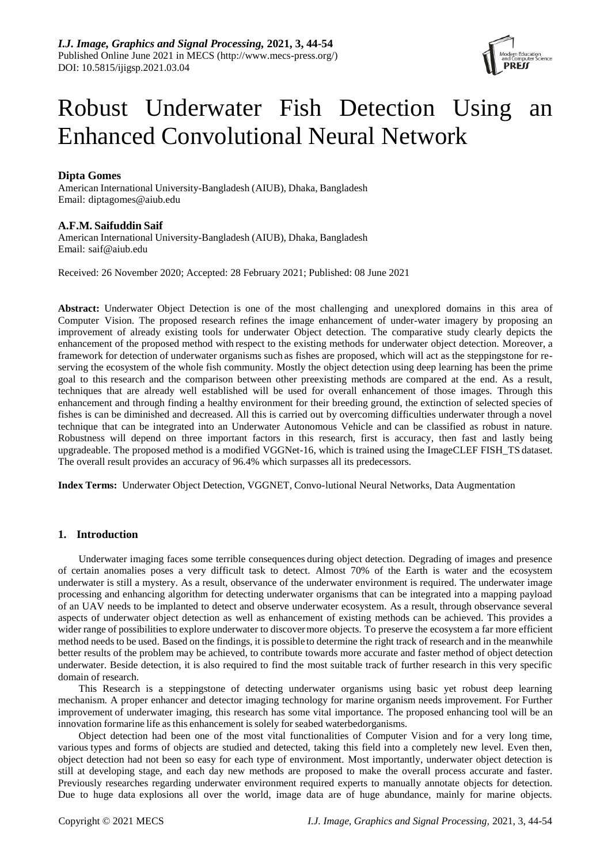

# Robust Underwater Fish Detection Using an Enhanced Convolutional Neural Network

# **Dipta Gomes**

American International University-Bangladesh (AIUB), Dhaka, Bangladesh Email: [diptagomes@aiub.edu](mailto:diptagomes@aiub.edu)

# **A.F.M. Saifuddin Saif**

American International University-Bangladesh (AIUB), Dhaka, Bangladesh Email: [saif@aiub.edu](mailto:saif@aiub.edu)

Received: 26 November 2020; Accepted: 28 February 2021; Published: 08 June 2021

**Abstract:** Underwater Object Detection is one of the most challenging and unexplored domains in this area of Computer Vision. The proposed research refines the image enhancement of under-water imagery by proposing an improvement of already existing tools for underwater Object detection. The comparative study clearly depicts the enhancement of the proposed method with respect to the existing methods for underwater object detection. Moreover, a framework for detection of underwater organisms such as fishes are proposed, which will act as the steppingstone for reserving the ecosystem of the whole fish community. Mostly the object detection using deep learning has been the prime goal to this research and the comparison between other preexisting methods are compared at the end. As a result, techniques that are already well established will be used for overall enhancement of those images. Through this enhancement and through finding a healthy environment for their breeding ground, the extinction of selected species of fishes is can be diminished and decreased. All this is carried out by overcoming difficulties underwater through a novel technique that can be integrated into an Underwater Autonomous Vehicle and can be classified as robust in nature. Robustness will depend on three important factors in this research, first is accuracy, then fast and lastly being upgradeable. The proposed method is a modified VGGNet-16, which is trained using the ImageCLEF FISH\_TS dataset. The overall result provides an accuracy of 96.4% which surpasses all its predecessors.

**Index Terms:** Underwater Object Detection, VGGNET, Convo-lutional Neural Networks, Data Augmentation

# **1. Introduction**

Underwater imaging faces some terrible consequences during object detection. Degrading of images and presence of certain anomalies poses a very difficult task to detect. Almost 70% of the Earth is water and the ecosystem underwater is still a mystery. As a result, observance of the underwater environment is required. The underwater image processing and enhancing algorithm for detecting underwater organisms that can be integrated into a mapping payload of an UAV needs to be implanted to detect and observe underwater ecosystem. As a result, through observance several aspects of underwater object detection as well as enhancement of existing methods can be achieved. This provides a wider range of possibilities to explore underwater to discovermore objects. To preserve the ecosystem a far more efficient method needs to be used. Based on the findings, it is possible to determine the right track of research and in the meanwhile better results of the problem may be achieved, to contribute towards more accurate and faster method of object detection underwater. Beside detection, it is also required to find the most suitable track of further research in this very specific domain of research.

This Research is a steppingstone of detecting underwater organisms using basic yet robust deep learning mechanism. A proper enhancer and detector imaging technology for marine organism needs improvement. For Further improvement of underwater imaging, this research has some vital importance. The proposed enhancing tool will be an innovation formarine life asthis enhancement is solely for seabed waterbedorganisms.

Object detection had been one of the most vital functionalities of Computer Vision and for a very long time, various types and forms of objects are studied and detected, taking this field into a completely new level. Even then, object detection had not been so easy for each type of environment. Most importantly, underwater object detection is still at developing stage, and each day new methods are proposed to make the overall process accurate and faster. Previously researches regarding underwater environment required experts to manually annotate objects for detection. Due to huge data explosions all over the world, image data are of huge abundance, mainly for marine objects.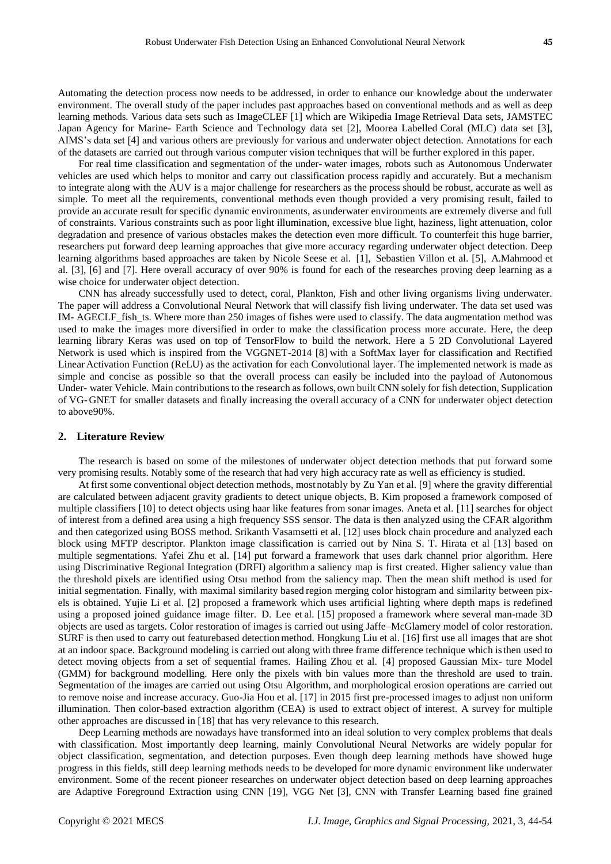Automating the detection process now needs to be addressed, in order to enhance our knowledge about the underwater environment. The overall study of the paper includes past approaches based on conventional methods and as well as deep learning methods. Various data sets such as ImageCLEF [1] which are Wikipedia Image Retrieval Data sets, JAMSTEC Japan Agency for Marine- Earth Science and Technology data set [2], Moorea Labelled Coral (MLC) data set [3], AIMS's data set [4] and various others are previously for various and underwater object detection. Annotations for each of the datasets are carried out through various computer vision techniques that will be further explored in this paper.

For real time classification and segmentation of the under- water images, robots such as Autonomous Underwater vehicles are used which helps to monitor and carry out classification process rapidly and accurately. But a mechanism to integrate along with the AUV is a major challenge for researchers as the process should be robust, accurate as well as simple. To meet all the requirements, conventional methods even though provided a very promising result, failed to provide an accurate result for specific dynamic environments, as underwater environments are extremely diverse and full of constraints. Various constraints such as poor light illumination, excessive blue light, haziness, light attenuation, color degradation and presence of various obstacles makes the detection even more difficult. To counterfeit this huge barrier, researchers put forward deep learning approaches that give more accuracy regarding underwater object detection. Deep learning algorithms based approaches are taken by Nicole Seese et al. [1], Sebastien Villon et al. [5], A.Mahmood et al. [3], [6] and [7]. Here overall accuracy of over 90% is found for each of the researches proving deep learning as a wise choice for underwater object detection.

CNN has already successfully used to detect, coral, Plankton, Fish and other living organisms living underwater. The paper will address a Convolutional Neural Network that will classify fish living underwater. The data set used was IM- AGECLF\_fish\_ts. Where more than 250 images of fishes were used to classify. The data augmentation method was used to make the images more diversified in order to make the classification process more accurate. Here, the deep learning library Keras was used on top of TensorFlow to build the network. Here a 5 2D Convolutional Layered Network is used which is inspired from the VGGNET-2014 [8] with a SoftMax layer for classification and Rectified Linear Activation Function (ReLU) as the activation for each Convolutional layer. The implemented network is made as simple and concise as possible so that the overall process can easily be included into the payload of Autonomous Under- water Vehicle. Main contributions to the research as follows,own built CNN solely for fish detection, Supplication of VG- GNET for smaller datasets and finally increasing the overall accuracy of a CNN for underwater object detection to above90%.

#### **2. Literature Review**

The research is based on some of the milestones of underwater object detection methods that put forward some very promising results. Notably some of the research that had very high accuracy rate as well as efficiency is studied.

At first some conventional object detection methods, mostnotably by Zu Yan et al. [9] where the gravity differential are calculated between adjacent gravity gradients to detect unique objects. B. Kim proposed a framework composed of multiple classifiers [10] to detect objects using haar like features from sonar images. Aneta et al. [11] searches for object of interest from a defined area using a high frequency SSS sensor. The data is then analyzed using the CFAR algorithm and then categorized using BOSS method. Srikanth Vasamsetti et al. [12] uses block chain procedure and analyzed each block using MFTP descriptor. Plankton image classification is carried out by Nina S. T. Hirata et al [13] based on multiple segmentations. Yafei Zhu et al. [14] put forward a framework that uses dark channel prior algorithm. Here using Discriminative Regional Integration (DRFI) algorithm a saliency map is first created. Higher saliency value than the threshold pixels are identified using Otsu method from the saliency map. Then the mean shift method is used for initial segmentation. Finally, with maximal similarity based region merging color histogram and similarity between pixels is obtained. Yujie Li et al. [2] proposed a framework which uses artificial lighting where depth maps is redefined using a proposed joined guidance image filter. D. Lee et al. [15] proposed a framework where several man-made 3D objects are used as targets. Color restoration of images is carried out using Jaffe–McGlamery model of color restoration. SURF is then used to carry out featurebased detectionmethod. Hongkung Liu et al. [16] first use all images that are shot at an indoor space. Background modeling is carried out along with three frame difference technique which isthen used to detect moving objects from a set of sequential frames. Hailing Zhou et al. [4] proposed Gaussian Mix- ture Model (GMM) for background modelling. Here only the pixels with bin values more than the threshold are used to train. Segmentation of the images are carried out using Otsu Algorithm, and morphological erosion operations are carried out to remove noise and increase accuracy. Guo-Jia Hou et al. [17] in 2015 first pre-processed images to adjust non uniform illumination. Then color-based extraction algorithm (CEA) is used to extract object of interest. A survey for multiple other approaches are discussed in [18] that has very relevance to this research.

Deep Learning methods are nowadays have transformed into an ideal solution to very complex problems that deals with classification. Most importantly deep learning, mainly Convolutional Neural Networks are widely popular for object classification, segmentation, and detection purposes. Even though deep learning methods have showed huge progress in this fields, still deep learning methods needs to be developed for more dynamic environment like underwater environment. Some of the recent pioneer researches on underwater object detection based on deep learning approaches are Adaptive Foreground Extraction using CNN [19], VGG Net [3], CNN with Transfer Learning based fine grained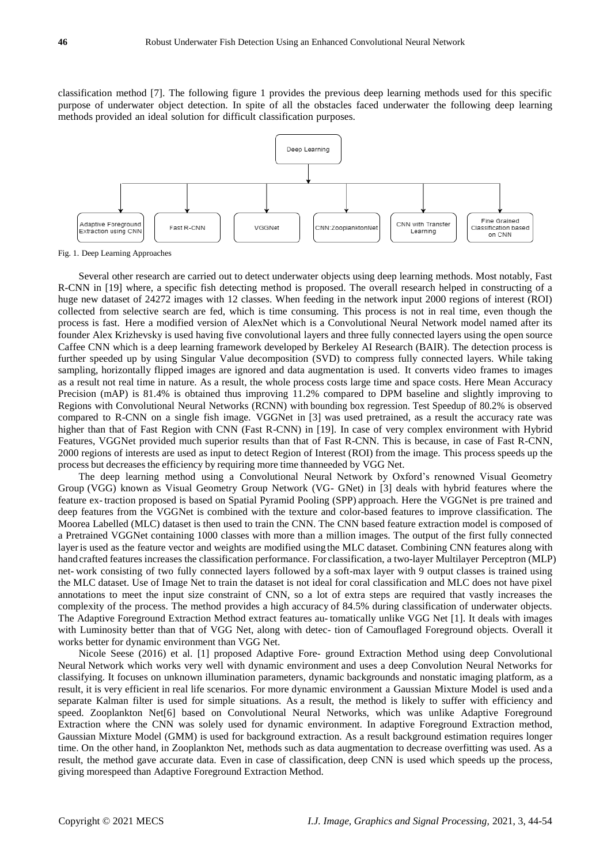classification method [7]. The following figure 1 provides the previous deep learning methods used for this specific purpose of underwater object detection. In spite of all the obstacles faced underwater the following deep learning methods provided an ideal solution for difficult classification purposes.



Fig. 1. Deep Learning Approaches

Several other research are carried out to detect underwater objects using deep learning methods. Most notably, Fast R-CNN in [19] where, a specific fish detecting method is proposed. The overall research helped in constructing of a huge new dataset of 24272 images with 12 classes. When feeding in the network input 2000 regions of interest (ROI) collected from selective search are fed, which is time consuming. This process is not in real time, even though the process is fast. Here a modified version of AlexNet which is a Convolutional Neural Network model named after its founder Alex Krizhevsky is used having five convolutional layers and three fully connected layers using the open source Caffee CNN which is a deep learning framework developed by Berkeley AI Research (BAIR). The detection process is further speeded up by using Singular Value decomposition (SVD) to compress fully connected layers. While taking sampling, horizontally flipped images are ignored and data augmentation is used. It converts video frames to images as a result not real time in nature. As a result, the whole process costs large time and space costs. Here Mean Accuracy Precision (mAP) is 81.4% is obtained thus improving 11.2% compared to DPM baseline and slightly improving to Regions with Convolutional Neural Networks (RCNN) with bounding box regression. Test Speedup of 80.2% is observed compared to R-CNN on a single fish image. VGGNet in [3] was used pretrained, as a result the accuracy rate was higher than that of Fast Region with CNN (Fast R-CNN) in [19]. In case of very complex environment with Hybrid Features, VGGNet provided much superior results than that of Fast R-CNN. This is because, in case of Fast R-CNN, 2000 regions of interests are used as input to detect Region of Interest (ROI) from the image. This process speeds up the process but decreases the efficiency by requiring more time thanneeded by VGG Net.

The deep learning method using a Convolutional Neural Network by Oxford's renowned Visual Geometry Group (VGG) known as Visual Geometry Group Network (VG- GNet) in [3] deals with hybrid features where the feature ex- traction proposed is based on Spatial Pyramid Pooling (SPP) approach. Here the VGGNet is pre trained and deep features from the VGGNet is combined with the texture and color-based features to improve classification. The Moorea Labelled (MLC) dataset is then used to train the CNN. The CNN based feature extraction model is composed of a Pretrained VGGNet containing 1000 classes with more than a million images. The output of the first fully connected layeris used as the feature vector and weights are modified using the MLC dataset. Combining CNN features along with hand crafted features increases the classification performance. For classification, a two-layer Multilayer Perceptron (MLP) net- work consisting of two fully connected layers followed by a soft-max layer with 9 output classes is trained using the MLC dataset. Use of Image Net to train the dataset is not ideal for coral classification and MLC does not have pixel annotations to meet the input size constraint of CNN, so a lot of extra steps are required that vastly increases the complexity of the process. The method provides a high accuracy of 84.5% during classification of underwater objects. The Adaptive Foreground Extraction Method extract features au- tomatically unlike VGG Net [1]. It deals with images with Luminosity better than that of VGG Net, along with detec- tion of Camouflaged Foreground objects. Overall it works better for dynamic environment than VGG Net.

Nicole Seese (2016) et al. [1] proposed Adaptive Fore- ground Extraction Method using deep Convolutional Neural Network which works very well with dynamic environment and uses a deep Convolution Neural Networks for classifying. It focuses on unknown illumination parameters, dynamic backgrounds and nonstatic imaging platform, as a result, it is very efficient in real life scenarios. For more dynamic environment a Gaussian Mixture Model is used and a separate Kalman filter is used for simple situations. As a result, the method is likely to suffer with efficiency and speed. Zooplankton Net[6] based on Convolutional Neural Networks, which was unlike Adaptive Foreground Extraction where the CNN was solely used for dynamic environment. In adaptive Foreground Extraction method, Gaussian Mixture Model (GMM) is used for background extraction. As a result background estimation requires longer time. On the other hand, in Zooplankton Net, methods such as data augmentation to decrease overfitting was used. As a result, the method gave accurate data. Even in case of classification, deep CNN is used which speeds up the process, giving morespeed than Adaptive Foreground Extraction Method.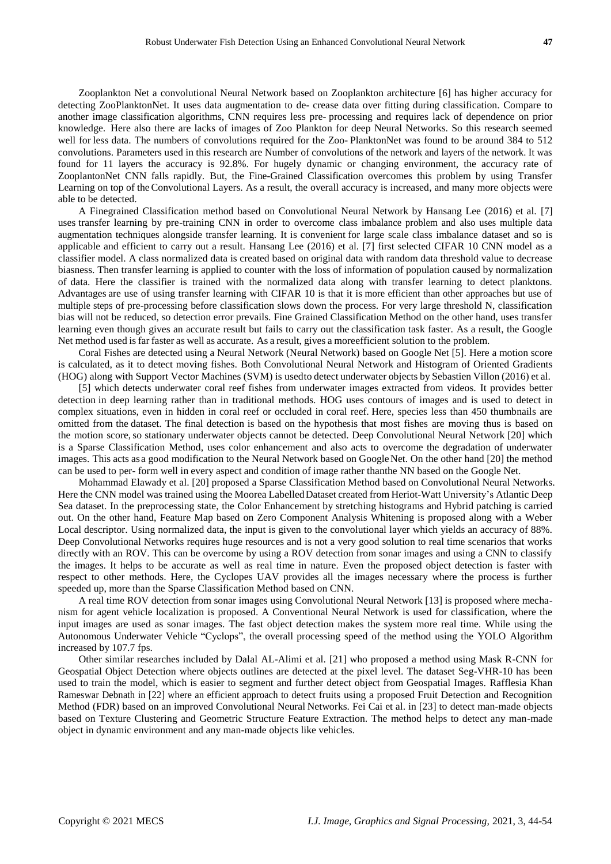Zooplankton Net a convolutional Neural Network based on Zooplankton architecture [6] has higher accuracy for detecting ZooPlanktonNet. It uses data augmentation to de- crease data over fitting during classification. Compare to another image classification algorithms, CNN requires less pre- processing and requires lack of dependence on prior knowledge. Here also there are lacks of images of Zoo Plankton for deep Neural Networks. So this research seemed well for less data. The numbers of convolutions required for the Zoo- PlanktonNet was found to be around 384 to 512 convolutions. Parameters used in this research are Number of convolutions of the network and layers of the network. It was found for 11 layers the accuracy is 92.8%. For hugely dynamic or changing environment, the accuracy rate of ZooplantonNet CNN falls rapidly. But, the Fine-Grained Classification overcomes this problem by using Transfer Learning on top of theConvolutional Layers. As a result, the overall accuracy is increased, and many more objects were able to be detected.

A Finegrained Classification method based on Convolutional Neural Network by Hansang Lee (2016) et al. [7] uses transfer learning by pre-training CNN in order to overcome class imbalance problem and also uses multiple data augmentation techniques alongside transfer learning. It is convenient for large scale class imbalance dataset and so is applicable and efficient to carry out a result. Hansang Lee (2016) et al. [7] first selected CIFAR 10 CNN model as a classifier model. A class normalized data is created based on original data with random data threshold value to decrease biasness. Then transfer learning is applied to counter with the loss of information of population caused by normalization of data. Here the classifier is trained with the normalized data along with transfer learning to detect planktons. Advantages are use of using transfer learning with CIFAR 10 is that it is more efficient than other approaches but use of multiple steps of pre-processing before classification slows down the process. For very large threshold N, classification bias will not be reduced, so detection error prevails. Fine Grained Classification Method on the other hand, uses transfer learning even though gives an accurate result but fails to carry out the classification task faster. As a result, the Google Net method used is far faster as well as accurate. As a result, gives a moreefficient solution to the problem.

Coral Fishes are detected using a Neural Network (Neural Network) based on Google Net [5]. Here a motion score is calculated, as it to detect moving fishes. Both Convolutional Neural Network and Histogram of Oriented Gradients (HOG) along with Support Vector Machines (SVM) is usedto detect underwater objects by Sebastien Villon (2016) et al.

[5] which detects underwater coral reef fishes from underwater images extracted from videos. It provides better detection in deep learning rather than in traditional methods. HOG uses contours of images and is used to detect in complex situations, even in hidden in coral reef or occluded in coral reef. Here, species less than 450 thumbnails are omitted from the dataset. The final detection is based on the hypothesis that most fishes are moving thus is based on the motion score,so stationary underwater objects cannot be detected. Deep Convolutional Neural Network [20] which is a Sparse Classification Method, uses color enhancement and also acts to overcome the degradation of underwater images. This acts as a good modification to the Neural Network based on GoogleNet. On the other hand [20] the method can be used to per- form well in every aspect and condition of image rather thanthe NN based on the Google Net.

Mohammad Elawady et al. [20] proposed a Sparse Classification Method based on Convolutional Neural Networks. Here the CNN model was trained using the Moorea LabelledDataset created from Heriot-Watt University's Atlantic Deep Sea dataset. In the preprocessing state, the Color Enhancement by stretching histograms and Hybrid patching is carried out. On the other hand, Feature Map based on Zero Component Analysis Whitening is proposed along with a Weber Local descriptor. Using normalized data, the input is given to the convolutional layer which yields an accuracy of 88%. Deep Convolutional Networks requires huge resources and is not a very good solution to real time scenarios that works directly with an ROV. This can be overcome by using a ROV detection from sonar images and using a CNN to classify the images. It helps to be accurate as well as real time in nature. Even the proposed object detection is faster with respect to other methods. Here, the Cyclopes UAV provides all the images necessary where the process is further speeded up, more than the Sparse Classification Method based on CNN.

A real time ROV detection from sonar images using Convolutional Neural Network [13] is proposed where mechanism for agent vehicle localization is proposed. A Conventional Neural Network is used for classification, where the input images are used as sonar images. The fast object detection makes the system more real time. While using the Autonomous Underwater Vehicle "Cyclops", the overall processing speed of the method using the YOLO Algorithm increased by 107.7 fps.

Other similar researches included by Dalal AL-Alimi et al. [21] who proposed a method using Mask R-CNN for Geospatial Object Detection where objects outlines are detected at the pixel level. The dataset Seg-VHR-10 has been used to train the model, which is easier to segment and further detect object from Geospatial Images. Rafflesia Khan Rameswar Debnath in [22] where an efficient approach to detect fruits using a proposed Fruit Detection and Recognition Method (FDR) based on an improved Convolutional Neural Networks. Fei Cai et al. in [23] to detect man-made objects based on Texture Clustering and Geometric Structure Feature Extraction. The method helps to detect any man-made object in dynamic environment and any man-made objects like vehicles.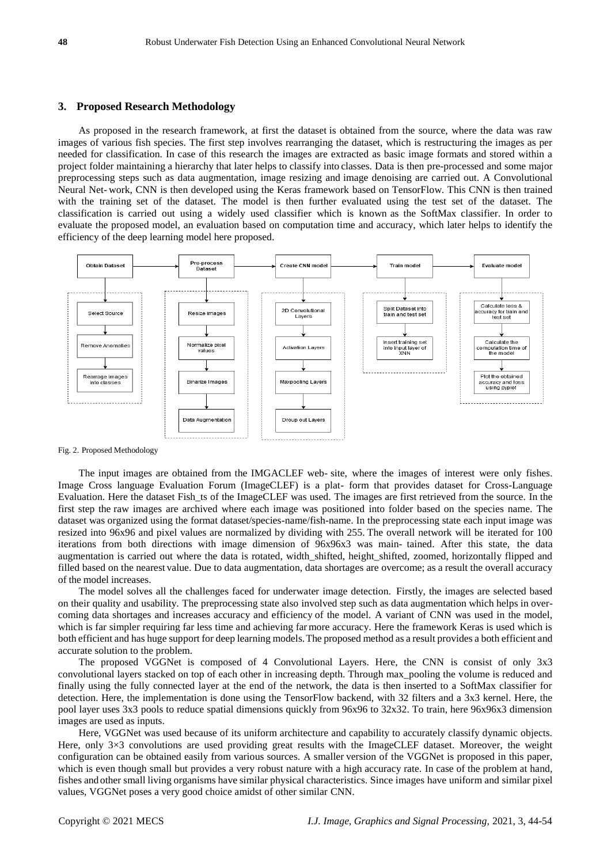## **3. Proposed Research Methodology**

As proposed in the research framework, at first the dataset is obtained from the source, where the data was raw images of various fish species. The first step involves rearranging the dataset, which is restructuring the images as per needed for classification. In case of this research the images are extracted as basic image formats and stored within a project folder maintaining a hierarchy that later helps to classify into classes. Data is then pre-processed and some major preprocessing steps such as data augmentation, image resizing and image denoising are carried out. A Convolutional Neural Net- work, CNN is then developed using the Keras framework based on TensorFlow. This CNN is then trained with the training set of the dataset. The model is then further evaluated using the test set of the dataset. The classification is carried out using a widely used classifier which is known as the SoftMax classifier. In order to evaluate the proposed model, an evaluation based on computation time and accuracy, which later helps to identify the efficiency of the deep learning model here proposed.



Fig. 2. Proposed Methodology

The input images are obtained from the IMGACLEF web- site, where the images of interest were only fishes. Image Cross language Evaluation Forum (ImageCLEF) is a plat- form that provides dataset for Cross-Language Evaluation. Here the dataset Fish\_ts of the ImageCLEF was used. The images are first retrieved from the source. In the first step the raw images are archived where each image was positioned into folder based on the species name. The dataset was organized using the format dataset/species-name/fish-name. In the preprocessing state each input image was resized into 96x96 and pixel values are normalized by dividing with 255. The overall network will be iterated for 100 iterations from both directions with image dimension of 96x96x3 was main- tained. After this state, the data augmentation is carried out where the data is rotated, width\_shifted, height\_shifted, zoomed, horizontally flipped and filled based on the nearest value. Due to data augmentation, data shortages are overcome; as a result the overall accuracy of the model increases.

The model solves all the challenges faced for underwater image detection. Firstly, the images are selected based on their quality and usability. The preprocessing state also involved step such as data augmentation which helps in overcoming data shortages and increases accuracy and efficiency of the model. A variant of CNN was used in the model, which is far simpler requiring far less time and achieving far more accuracy. Here the framework Keras is used which is both efficient and has huge support for deep learning models.The proposed method as a result provides a both efficient and accurate solution to the problem.

The proposed VGGNet is composed of 4 Convolutional Layers. Here, the CNN is consist of only 3x3 convolutional layers stacked on top of each other in increasing depth. Through max\_pooling the volume is reduced and finally using the fully connected layer at the end of the network, the data is then inserted to a SoftMax classifier for detection. Here, the implementation is done using the TensorFlow backend, with 32 filters and a 3x3 kernel. Here, the pool layer uses 3x3 pools to reduce spatial dimensions quickly from 96x96 to 32x32. To train, here 96x96x3 dimension images are used as inputs.

Here, VGGNet was used because of its uniform architecture and capability to accurately classify dynamic objects. Here, only  $3\times3$  convolutions are used providing great results with the ImageCLEF dataset. Moreover, the weight configuration can be obtained easily from various sources. A smaller version of the VGGNet is proposed in this paper, which is even though small but provides a very robust nature with a high accuracy rate. In case of the problem at hand, fishes and other small living organisms have similar physical characteristics. Since images have uniform and similar pixel values, VGGNet poses a very good choice amidst of other similar CNN.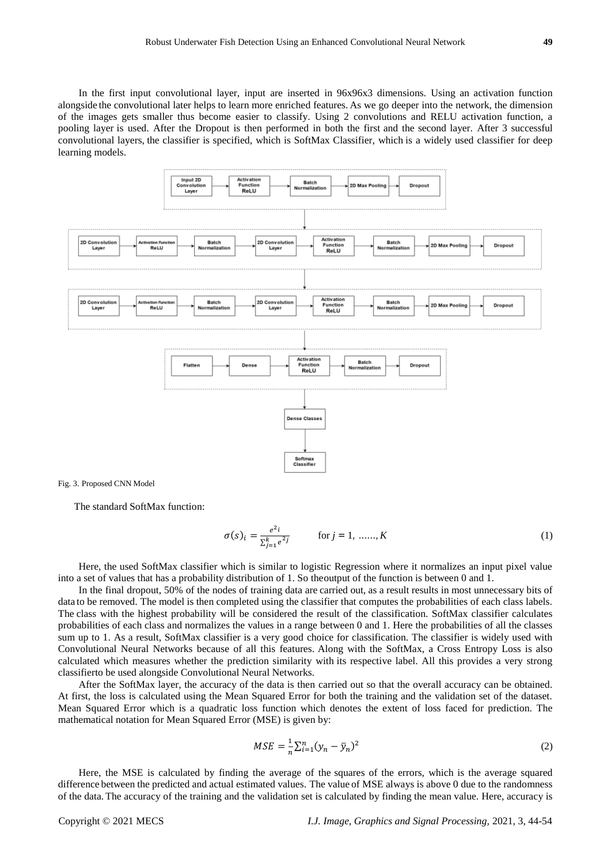In the first input convolutional layer, input are inserted in 96x96x3 dimensions. Using an activation function alongside the convolutional later helps to learn more enriched features. As we go deeper into the network, the dimension of the images gets smaller thus become easier to classify. Using 2 convolutions and RELU activation function, a pooling layer is used. After the Dropout is then performed in both the first and the second layer. After 3 successful convolutional layers, the classifier is specified, which is SoftMax Classifier, which is a widely used classifier for deep learning models.



#### Fig. 3. Proposed CNN Model

The standard SoftMax function:

$$
\sigma(s)_i = \frac{e^{2i}}{\sum_{j=1}^k e^{2j}} \qquad \text{for } j = 1, \dots, K
$$
 (1)

Here, the used SoftMax classifier which is similar to logistic Regression where it normalizes an input pixel value into a set of values that has a probability distribution of 1. So theoutput of the function is between 0 and 1.

In the final dropout, 50% of the nodes of training data are carried out, as a result results in most unnecessary bits of data to be removed. The model is then completed using the classifier that computes the probabilities of each class labels. The class with the highest probability will be considered the result of the classification. SoftMax classifier calculates probabilities of each class and normalizes the values in a range between 0 and 1. Here the probabilities of all the classes sum up to 1. As a result, SoftMax classifier is a very good choice for classification. The classifier is widely used with Convolutional Neural Networks because of all this features. Along with the SoftMax, a Cross Entropy Loss is also calculated which measures whether the prediction similarity with its respective label. All this provides a very strong classifierto be used alongside Convolutional Neural Networks.

After the SoftMax layer, the accuracy of the data is then carried out so that the overall accuracy can be obtained. At first, the loss is calculated using the Mean Squared Error for both the training and the validation set of the dataset. Mean Squared Error which is a quadratic loss function which denotes the extent of loss faced for prediction. The mathematical notation for Mean Squared Error (MSE) is given by:

$$
MSE = \frac{1}{n} \sum_{i=1}^{n} (y_n - \bar{y}_n)^2
$$
 (2)

Here, the MSE is calculated by finding the average of the squares of the errors, which is the average squared difference between the predicted and actual estimated values. The value of MSE always is above 0 due to the randomness of the data.The accuracy of the training and the validation set is calculated by finding the mean value. Here, accuracy is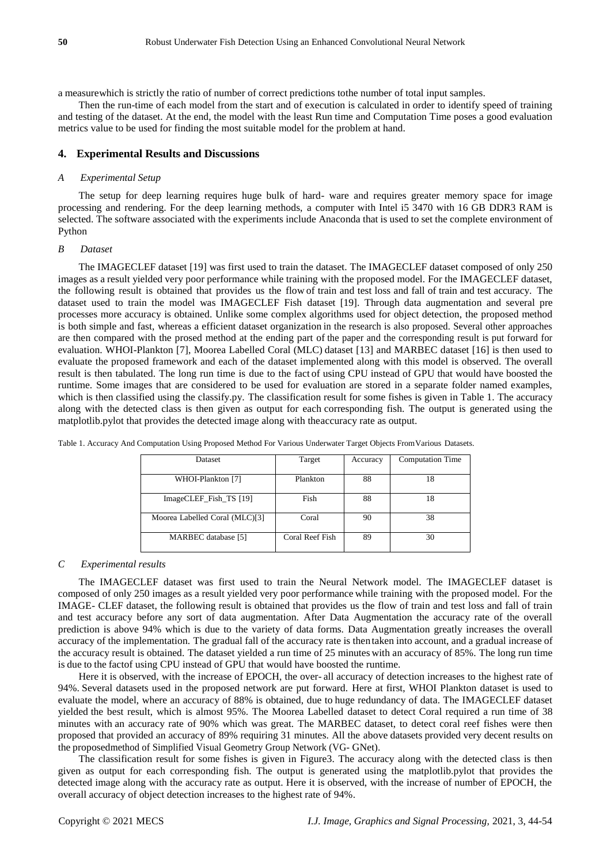a measurewhich is strictly the ratio of number of correct predictions tothe number of total input samples.

Then the run-time of each model from the start and of execution is calculated in order to identify speed of training and testing of the dataset. At the end, the model with the least Run time and Computation Time poses a good evaluation metrics value to be used for finding the most suitable model for the problem at hand.

## **4. Experimental Results and Discussions**

#### *A Experimental Setup*

The setup for deep learning requires huge bulk of hard- ware and requires greater memory space for image processing and rendering. For the deep learning methods, a computer with Intel i5 3470 with 16 GB DDR3 RAM is selected. The software associated with the experiments include Anaconda that is used to set the complete environment of Python

## *B Dataset*

The IMAGECLEF dataset [19] was first used to train the dataset. The IMAGECLEF dataset composed of only 250 images as a result yielded very poor performance while training with the proposed model. For the IMAGECLEF dataset, the following result is obtained that provides us the flow of train and test loss and fall of train and test accuracy. The dataset used to train the model was IMAGECLEF Fish dataset [19]. Through data augmentation and several pre processes more accuracy is obtained. Unlike some complex algorithms used for object detection, the proposed method is both simple and fast, whereas a efficient dataset organization in the research is also proposed. Several other approaches are then compared with the prosed method at the ending part of the paper and the corresponding result is put forward for evaluation. WHOI-Plankton [7], Moorea Labelled Coral (MLC) dataset [13] and MARBEC dataset [16] is then used to evaluate the proposed framework and each of the dataset implemented along with this model is observed. The overall result is then tabulated. The long run time is due to the fact of using CPU instead of GPU that would have boosted the runtime. Some images that are considered to be used for evaluation are stored in a separate folder named examples, which is then classified using the classify.py. The classification result for some fishes is given in Table 1. The accuracy along with the detected class is then given as output for each corresponding fish. The output is generated using the matplotlib.pylot that provides the detected image along with theaccuracy rate as output.

| <b>Dataset</b>                 | Target          | Accuracy | <b>Computation Time</b> |
|--------------------------------|-----------------|----------|-------------------------|
|                                |                 |          |                         |
| WHOI-Plankton [7]              | Plankton        | 88       | 18                      |
| ImageCLEF_Fish_TS [19]         | Fish            | 88       | 18                      |
| Moorea Labelled Coral (MLC)[3] | Coral           | 90       | 38                      |
| MARBEC database [5]            | Coral Reef Fish | 89       | 30                      |

Table 1. Accuracy And Computation Using Proposed Method For Various Underwater Target Objects FromVarious Datasets.

#### *C Experimental results*

The IMAGECLEF dataset was first used to train the Neural Network model. The IMAGECLEF dataset is composed of only 250 images as a result yielded very poor performance while training with the proposed model. For the IMAGE- CLEF dataset, the following result is obtained that provides us the flow of train and test loss and fall of train and test accuracy before any sort of data augmentation. After Data Augmentation the accuracy rate of the overall prediction is above 94% which is due to the variety of data forms. Data Augmentation greatly increases the overall accuracy of the implementation. The gradual fall of the accuracy rate is then taken into account, and a gradual increase of the accuracy result is obtained. The dataset yielded a run time of 25 minutes with an accuracy of 85%. The long run time is due to the factof using CPU instead of GPU that would have boosted the runtime.

Here it is observed, with the increase of EPOCH, the over- all accuracy of detection increases to the highest rate of 94%. Several datasets used in the proposed network are put forward. Here at first, WHOI Plankton dataset is used to evaluate the model, where an accuracy of 88% is obtained, due to huge redundancy of data. The IMAGECLEF dataset yielded the best result, which is almost 95%. The Moorea Labelled dataset to detect Coral required a run time of 38 minutes with an accuracy rate of 90% which was great. The MARBEC dataset, to detect coral reef fishes were then proposed that provided an accuracy of 89% requiring 31 minutes. All the above datasets provided very decent results on the proposedmethod of Simplified Visual Geometry Group Network (VG- GNet).

The classification result for some fishes is given in Figure3. The accuracy along with the detected class is then given as output for each corresponding fish. The output is generated using the matplotlib.pylot that provides the detected image along with the accuracy rate as output. Here it is observed, with the increase of number of EPOCH, the overall accuracy of object detection increases to the highest rate of 94%.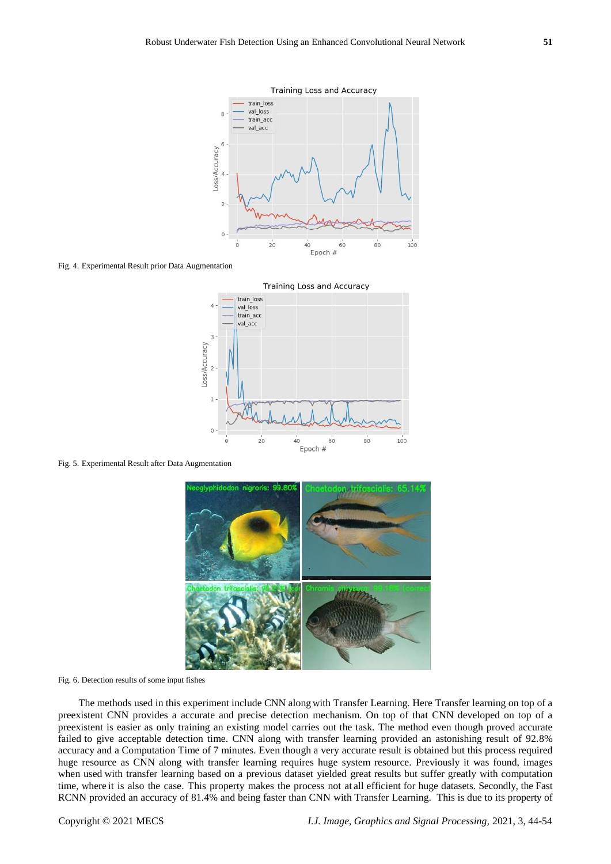

Fig. 4. Experimental Result prior Data Augmentation



Fig. 5. Experimental Result after Data Augmentation



#### Fig. 6. Detection results of some input fishes

The methods used in this experiment include CNN alongwith Transfer Learning. Here Transfer learning on top of a preexistent CNN provides a accurate and precise detection mechanism. On top of that CNN developed on top of a preexistent is easier as only training an existing model carries out the task. The method even though proved accurate failed to give acceptable detection time. CNN along with transfer learning provided an astonishing result of 92.8% accuracy and a Computation Time of 7 minutes. Even though a very accurate result is obtained but this process required huge resource as CNN along with transfer learning requires huge system resource. Previously it was found, images when used with transfer learning based on a previous dataset yielded great results but suffer greatly with computation time, where it is also the case. This property makes the process not at all efficient for huge datasets. Secondly, the Fast RCNN provided an accuracy of 81.4% and being faster than CNN with Transfer Learning. This is due to its property of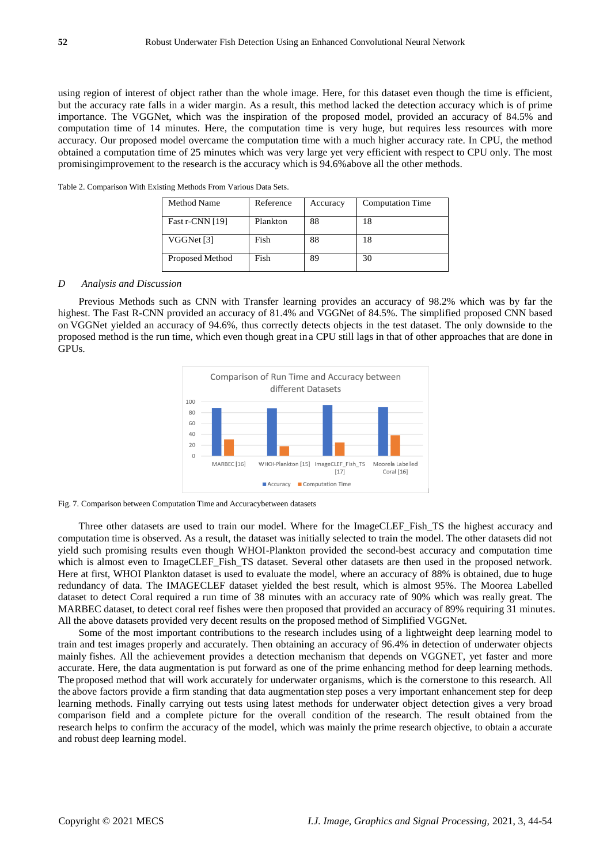using region of interest of object rather than the whole image. Here, for this dataset even though the time is efficient, but the accuracy rate falls in a wider margin. As a result, this method lacked the detection accuracy which is of prime importance. The VGGNet, which was the inspiration of the proposed model, provided an accuracy of 84.5% and computation time of 14 minutes. Here, the computation time is very huge, but requires less resources with more accuracy. Our proposed model overcame the computation time with a much higher accuracy rate. In CPU, the method obtained a computation time of 25 minutes which was very large yet very efficient with respect to CPU only. The most promisingimprovement to the research is the accuracy which is 94.6%above all the other methods.

| Method Name     | Reference | Accuracy | <b>Computation Time</b> |
|-----------------|-----------|----------|-------------------------|
| Fast r-CNN [19] | Plankton  | 88       | 18                      |
| VGGNet [3]      | Fish      | 88       | 18                      |
| Proposed Method | Fish      | 89       | 30                      |

Table 2. Comparison With Existing Methods From Various Data Sets.

#### *D Analysis and Discussion*

Previous Methods such as CNN with Transfer learning provides an accuracy of 98.2% which was by far the highest. The Fast R-CNN provided an accuracy of 81.4% and VGGNet of 84.5%. The simplified proposed CNN based on VGGNet yielded an accuracy of 94.6%, thus correctly detects objects in the test dataset. The only downside to the proposed method is the run time, which even though great in a CPU still lags in that of other approaches that are done in GPUs.



Fig. 7. Comparison between Computation Time and Accuracybetween datasets

Three other datasets are used to train our model. Where for the ImageCLEF\_Fish\_TS the highest accuracy and computation time is observed. As a result, the dataset was initially selected to train the model. The other datasets did not yield such promising results even though WHOI-Plankton provided the second-best accuracy and computation time which is almost even to ImageCLEF\_Fish\_TS dataset. Several other datasets are then used in the proposed network. Here at first, WHOI Plankton dataset is used to evaluate the model, where an accuracy of 88% is obtained, due to huge redundancy of data. The IMAGECLEF dataset yielded the best result, which is almost 95%. The Moorea Labelled dataset to detect Coral required a run time of 38 minutes with an accuracy rate of 90% which was really great. The MARBEC dataset, to detect coral reef fishes were then proposed that provided an accuracy of 89% requiring 31 minutes. All the above datasets provided very decent results on the proposed method of Simplified VGGNet.

Some of the most important contributions to the research includes using of a lightweight deep learning model to train and test images properly and accurately. Then obtaining an accuracy of 96.4% in detection of underwater objects mainly fishes. All the achievement provides a detection mechanism that depends on VGGNET, yet faster and more accurate. Here, the data augmentation is put forward as one of the prime enhancing method for deep learning methods. The proposed method that will work accurately for underwater organisms, which is the cornerstone to this research. All the above factors provide a firm standing that data augmentation step poses a very important enhancement step for deep learning methods. Finally carrying out tests using latest methods for underwater object detection gives a very broad comparison field and a complete picture for the overall condition of the research. The result obtained from the research helps to confirm the accuracy of the model, which was mainly the prime research objective, to obtain a accurate and robust deep learning model.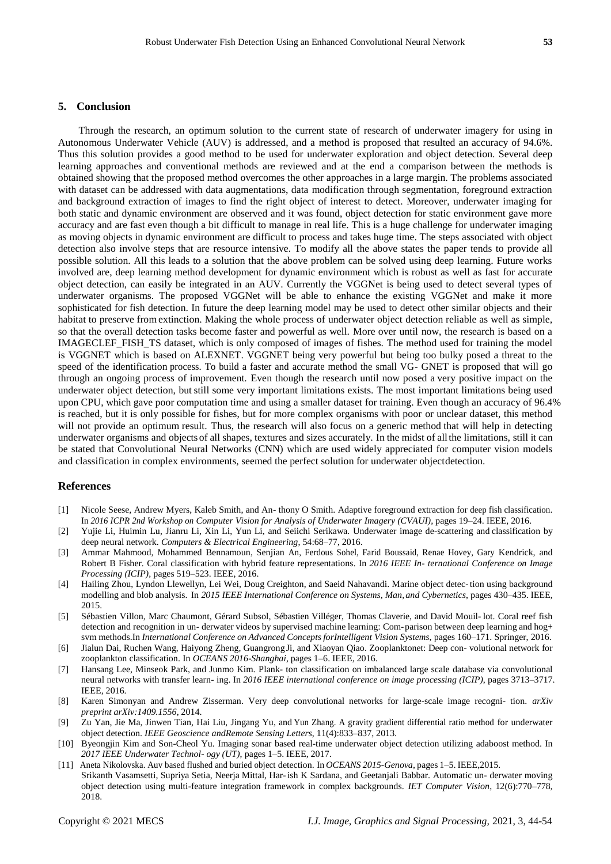# **5. Conclusion**

Through the research, an optimum solution to the current state of research of underwater imagery for using in Autonomous Underwater Vehicle (AUV) is addressed, and a method is proposed that resulted an accuracy of 94.6%. Thus this solution provides a good method to be used for underwater exploration and object detection. Several deep learning approaches and conventional methods are reviewed and at the end a comparison between the methods is obtained showing that the proposed method overcomes the other approaches in a large margin. The problems associated with dataset can be addressed with data augmentations, data modification through segmentation, foreground extraction and background extraction of images to find the right object of interest to detect. Moreover, underwater imaging for both static and dynamic environment are observed and it was found, object detection for static environment gave more accuracy and are fast even though a bit difficult to manage in real life. This is a huge challenge for underwater imaging as moving objects in dynamic environment are difficult to process and takes huge time. The steps associated with object detection also involve steps that are resource intensive. To modify all the above states the paper tends to provide all possible solution. All this leads to a solution that the above problem can be solved using deep learning. Future works involved are, deep learning method development for dynamic environment which is robust as well as fast for accurate object detection, can easily be integrated in an AUV. Currently the VGGNet is being used to detect several types of underwater organisms. The proposed VGGNet will be able to enhance the existing VGGNet and make it more sophisticated for fish detection. In future the deep learning model may be used to detect other similar objects and their habitat to preserve fromextinction. Making the whole process of underwater object detection reliable as well as simple, so that the overall detection tasks become faster and powerful as well. More over until now, the research is based on a IMAGECLEF\_FISH\_TS dataset, which is only composed of images of fishes. The method used for training the model is VGGNET which is based on ALEXNET. VGGNET being very powerful but being too bulky posed a threat to the speed of the identification process. To build a faster and accurate method the small VG- GNET is proposed that will go through an ongoing process of improvement. Even though the research until now posed a very positive impact on the underwater object detection, but still some very important limitations exists. The most important limitations being used upon CPU, which gave poor computation time and using a smaller dataset for training. Even though an accuracy of 96.4% is reached, but it is only possible for fishes, but for more complex organisms with poor or unclear dataset, this method will not provide an optimum result. Thus, the research will also focus on a generic method that will help in detecting underwater organisms and objects of all shapes, textures and sizes accurately. In the midst of allthe limitations, still it can be stated that Convolutional Neural Networks (CNN) which are used widely appreciated for computer vision models and classification in complex environments, seemed the perfect solution for underwater objectdetection.

#### **References**

- [1] Nicole Seese, Andrew Myers, Kaleb Smith, and An- thony O Smith. Adaptive foreground extraction for deep fish classification. In *2016 ICPR 2nd Workshop on Computer Vision for Analysis of Underwater Imagery (CVAUI)*, pages 19–24. IEEE, 2016.
- [2] Yujie Li, Huimin Lu, Jianru Li, Xin Li, Yun Li, and Seiichi Serikawa. Underwater image de-scattering and classification by deep neural network. *Computers & Electrical Engineering*, 54:68–77, 2016.
- [3] Ammar Mahmood, Mohammed Bennamoun, Senjian An, Ferdous Sohel, Farid Boussaid, Renae Hovey, Gary Kendrick, and Robert B Fisher. Coral classification with hybrid feature representations. In *2016 IEEE In- ternational Conference on Image Processing (ICIP)*, pages 519–523. IEEE, 2016.
- [4] Hailing Zhou, Lyndon Llewellyn, Lei Wei, Doug Creighton, and Saeid Nahavandi. Marine object detec-tion using background modelling and blob analysis. In *2015 IEEE International Conference on Systems, Man, and Cybernetics*, pages 430–435. IEEE, 2015.
- [5] Sébastien Villon, Marc Chaumont, Gérard Subsol, Sébastien Villéger, Thomas Claverie, and David Mouil- lot. Coral reef fish detection and recognition in un- derwater videos by supervised machine learning: Com-parison between deep learning and hog+ svm methods.In *International Conference on Advanced Concepts forIntelligent Vision Systems*, pages 160–171. Springer, 2016.
- [6] Jialun Dai, Ruchen Wang, Haiyong Zheng, Guangrong Ji, and Xiaoyan Qiao. Zooplanktonet: Deep con- volutional network for zooplankton classification. In *OCEANS 2016-Shanghai*, pages 1–6. IEEE, 2016.
- [7] Hansang Lee, Minseok Park, and Junmo Kim. Plank- ton classification on imbalanced large scale database via convolutional neural networks with transfer learn- ing. In *2016 IEEE international conference on image processing (ICIP)*, pages 3713–3717. IEEE, 2016.
- [8] Karen Simonyan and Andrew Zisserman. Very deep convolutional networks for large-scale image recogni- tion. *arXiv preprint arXiv:1409.1556*, 2014.
- [9] Zu Yan, Jie Ma, Jinwen Tian, Hai Liu, Jingang Yu, and Yun Zhang. A gravity gradient differential ratio method for underwater object detection. *IEEE Geoscience andRemote Sensing Letters*, 11(4):833–837, 2013.
- [10] Byeongjin Kim and Son-Cheol Yu. Imaging sonar based real-time underwater object detection utilizing adaboost method. In *2017 IEEE Underwater Technol- ogy (UT)*, pages 1–5. IEEE, 2017.
- [11] Aneta Nikolovska. Auv based flushed and buried object detection. In *OCEANS 2015-Genova*, pages 1–5. IEEE,2015. Srikanth Vasamsetti, Supriya Setia, Neerja Mittal, Har-ish K Sardana, and Geetanjali Babbar. Automatic un- derwater moving object detection using multi-feature integration framework in complex backgrounds. *IET Computer Vision*, 12(6):770–778, 2018.